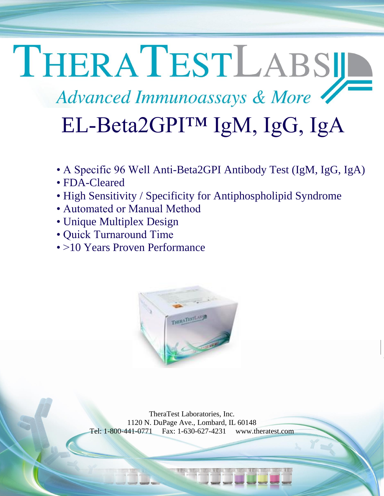## THERATESTLABSIL Advanced Immunoassays & More EL-Beta2GPI™ IgM, IgG, IgA

- A Specific 96 Well Anti-Beta2GPI Antibody Test (IgM, IgG, IgA)
- FDA-Cleared
- High Sensitivity / Specificity for Antiphospholipid Syndrome
- Automated or Manual Method
- Unique Multiplex Design
- Quick Turnaround Time
- >10 Years Proven Performance



TheraTest Laboratories, Inc. 1120 N. DuPage Ave., Lombard, IL 60148 Tel: 1-800-441-0771 Fax: 1-630-627-4231 [www.theratest.com](http://www.theratest.com/)